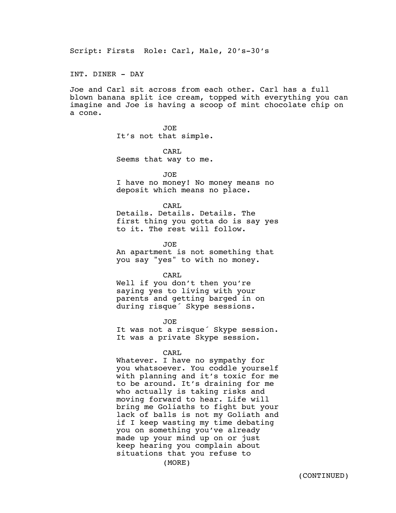Script: Firsts Role: Carl, Male, 20's-30's

INT. DINER - DAY

Joe and Carl sit across from each other. Carl has a full blown banana split ice cream, topped with everything you can imagine and Joe is having a scoop of mint chocolate chip on a cone.

> JOE It's not that simple.

> CARL Seems that way to me.

> > JOE

I have no money! No money means no deposit which means no place.

CARL

Details. Details. Details. The first thing you gotta do is say yes to it. The rest will follow.

JOE

An apartment is not something that you say "yes" to with no money.

CARL

Well if you don't then you're saying yes to living with your parents and getting barged in on during risque´ Skype sessions.

JOE

It was not a risque´ Skype session. It was a private Skype session.

CARL

Whatever. I have no sympathy for you whatsoever. You coddle yourself with planning and it's toxic for me to be around. It's draining for me who actually is taking risks and moving forward to hear. Life will bring me Goliaths to fight but your lack of balls is not my Goliath and if I keep wasting my time debating you on something you've already made up your mind up on or just keep hearing you complain about situations that you refuse to

(MORE)